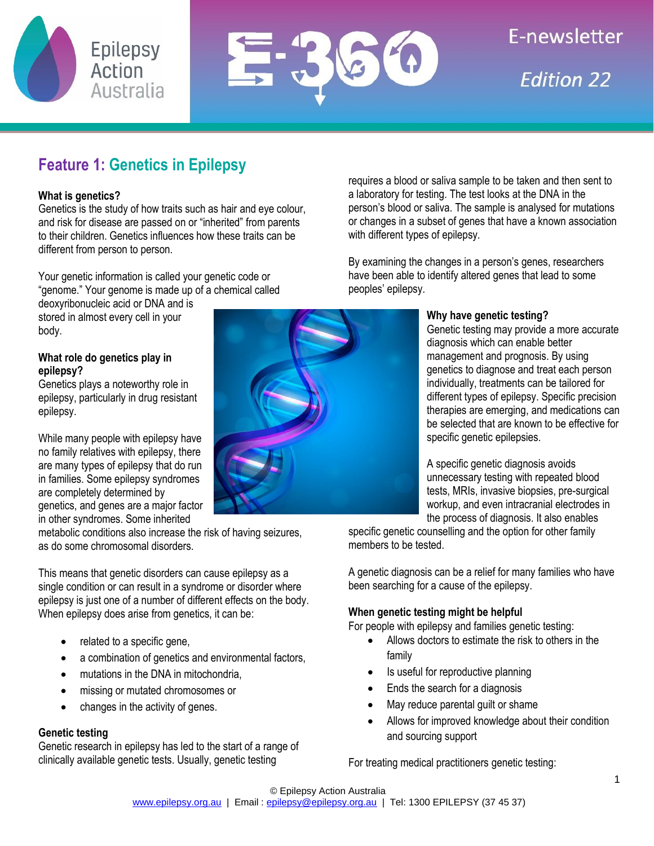



# **F-newsletter Edition 22**

### **Feature 1: Genetics in Epilepsy**

### **What is genetics?**

Genetics is the study of how traits such as hair and eye colour, and risk for disease are passed on or "inherited" from parents to their children. Genetics influences how these traits can be different from person to person.

Your genetic information is called your genetic code or "genome." Your genome is made up of a chemical called

deoxyribonucleic acid or DNA and is stored in almost every cell in your body.

### **What role do genetics play in epilepsy?**

Genetics plays a noteworthy role in epilepsy, particularly in drug resistant epilepsy.

While many people with epilepsy have no family relatives with epilepsy, there are many types of epilepsy that do run in families. Some epilepsy syndromes are completely determined by genetics, and genes are a major factor in other syndromes. Some inherited

metabolic conditions also increase the risk of having seizures, as do some chromosomal disorders.

This means that genetic disorders can cause epilepsy as a single condition or can result in a syndrome or disorder where epilepsy is just one of a number of different effects on the body. When epilepsy does arise from genetics, it can be:

- related to a specific gene,
- a combination of genetics and environmental factors,
- mutations in the DNA in mitochondria.
- missing or mutated chromosomes or
- changes in the activity of genes.

### **Genetic testing**

Genetic research in epilepsy has led to the start of a range of clinically available genetic tests. Usually, genetic testing

requires a blood or saliva sample to be taken and then sent to a laboratory for testing. The test looks at the DNA in the person's blood or saliva. The sample is analysed for mutations or changes in a subset of genes that have a known association with different types of epilepsy.

By examining the changes in a person's genes, researchers have been able to identify altered genes that lead to some peoples' epilepsy.

### **Why have genetic testing?**

Genetic testing may provide a more accurate diagnosis which can enable better management and prognosis. By using genetics to diagnose and treat each person individually, treatments can be tailored for different types of epilepsy. Specific precision therapies are emerging, and medications can be selected that are known to be effective for specific genetic epilepsies.

A specific genetic diagnosis avoids unnecessary testing with repeated blood tests, MRIs, invasive biopsies, pre-surgical workup, and even intracranial electrodes in the process of diagnosis. It also enables

specific genetic counselling and the option for other family members to be tested.

A genetic diagnosis can be a relief for many families who have been searching for a cause of the epilepsy.

### **When genetic testing might be helpful**

For people with epilepsy and families genetic testing:

- Allows doctors to estimate the risk to others in the family
- Is useful for reproductive planning
- Ends the search for a diagnosis
- May reduce parental quilt or shame
- Allows for improved knowledge about their condition and sourcing support

For treating medical practitioners genetic testing: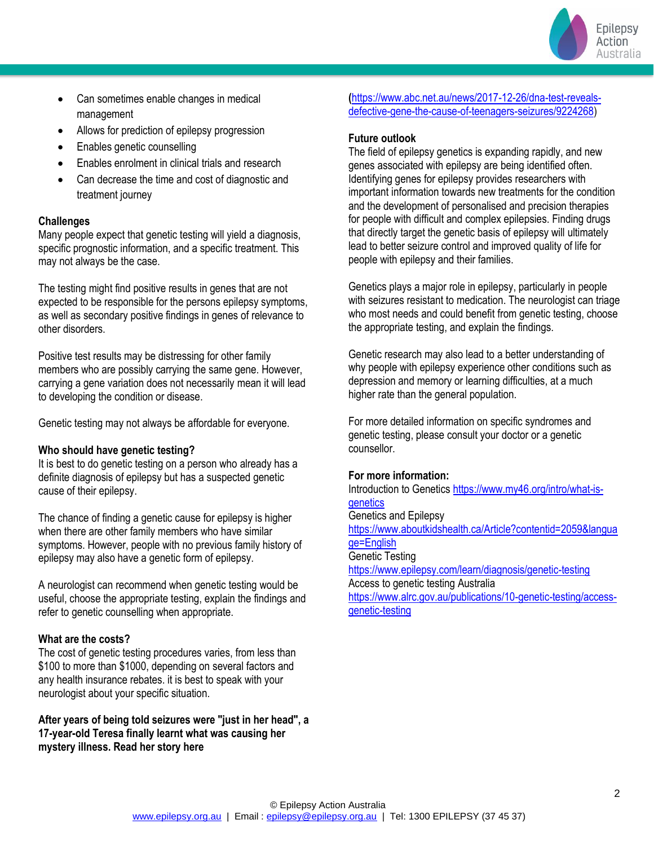

- Can sometimes enable changes in medical management
- Allows for prediction of epilepsy progression
- Enables genetic counselling
- Enables enrolment in clinical trials and research
- Can decrease the time and cost of diagnostic and treatment journey

### **Challenges**

Many people expect that genetic testing will yield a diagnosis, specific prognostic information, and a specific treatment. This may not always be the case.

The testing might find positive results in genes that are not expected to be responsible for the persons epilepsy symptoms, as well as secondary positive findings in genes of relevance to other disorders.

Positive test results may be distressing for other family members who are possibly carrying the same gene. However, carrying a gene variation does not necessarily mean it will lead to developing the condition or disease.

Genetic testing may not always be affordable for everyone.

### **Who should have genetic testing?**

It is best to do genetic testing on a person who already has a definite diagnosis of epilepsy but has a suspected genetic cause of their epilepsy.

The chance of finding a genetic cause for epilepsy is higher when there are other family members who have similar symptoms. However, people with no previous family history of epilepsy may also have a genetic form of epilepsy.

A neurologist can recommend when genetic testing would be useful, choose the appropriate testing, explain the findings and refer to genetic counselling when appropriate.

### **What are the costs?**

The cost of genetic testing procedures varies, from less than \$100 to more than \$1000, depending on several factors and any health insurance rebates. it is best to speak with your neurologist about your specific situation.

**After years of being told seizures were "just in her head", a 17-year-old Teresa finally learnt what was causing her mystery illness. Read her story here** 

**(**[https://www.abc.net.au/news/2017-12-26/dna-test-reveals](https://www.abc.net.au/news/2017-12-26/dna-test-reveals-defective-gene-the-cause-of-teenagers-seizures/9224268)[defective-gene-the-cause-of-teenagers-seizures/9224268\)](https://www.abc.net.au/news/2017-12-26/dna-test-reveals-defective-gene-the-cause-of-teenagers-seizures/9224268)

### **Future outlook**

The field of epilepsy genetics is expanding rapidly, and new genes associated with epilepsy are being identified often. Identifying genes for epilepsy provides researchers with important information towards new treatments for the condition and the development of personalised and precision therapies for people with difficult and complex epilepsies. Finding drugs that directly target the genetic basis of epilepsy will ultimately lead to better seizure control and improved quality of life for people with epilepsy and their families.

Genetics plays a major role in epilepsy, particularly in people with seizures resistant to medication. The neurologist can triage who most needs and could benefit from genetic testing, choose the appropriate testing, and explain the findings.

Genetic research may also lead to a better understanding of why people with epilepsy experience other conditions such as depression and memory or learning difficulties, at a much higher rate than the general population.

For more detailed information on specific syndromes and genetic testing, please consult your doctor or a genetic counsellor.

### **For more information:**

Introduction to Genetics [https://www.my46.org/intro/what-is](https://www.my46.org/intro/what-is-genetics)**[genetics](https://www.my46.org/intro/what-is-genetics)** Genetics and Epilepsy [https://www.aboutkidshealth.ca/Article?contentid=2059&langua](https://www.aboutkidshealth.ca/Article?contentid=2059&language=English) [ge=English](https://www.aboutkidshealth.ca/Article?contentid=2059&language=English) Genetic Testing <https://www.epilepsy.com/learn/diagnosis/genetic-testing> Access to genetic testing Australia [https://www.alrc.gov.au/publications/10-genetic-testing/access](https://www.alrc.gov.au/publications/10-genetic-testing/access-genetic-testing)[genetic-testing](https://www.alrc.gov.au/publications/10-genetic-testing/access-genetic-testing)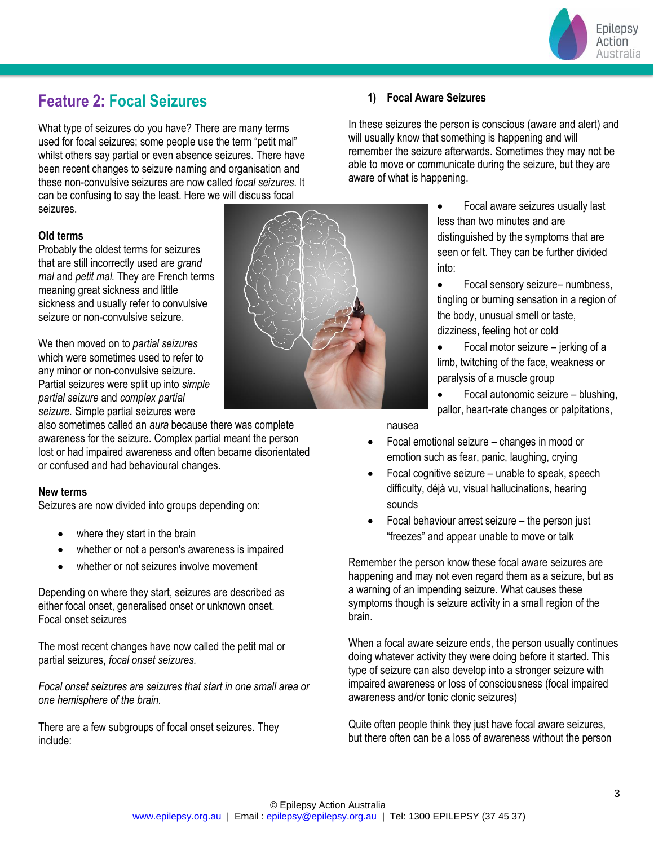

### **Feature 2: Focal Seizures**

What type of seizures do you have? There are many terms used for focal seizures; some people use the term "petit mal" whilst others say partial or even absence seizures. There have been recent changes to seizure naming and organisation and these non-convulsive seizures are now called *focal seizures*. It can be confusing to say the least. Here we will discuss focal seizures.

### **Old terms**

Probably the oldest terms for seizures that are still incorrectly used are *grand mal* and *petit mal.* They are French terms meaning great sickness and little sickness and usually refer to convulsive seizure or non-convulsive seizure.

We then moved on to *partial seizures* which were sometimes used to refer to any minor or non-convulsive seizure. Partial seizures were split up into *simple partial seizure* and *complex partial seizure.* Simple partial seizures were

also sometimes called an *aura* because there was complete awareness for the seizure. Complex partial meant the person lost or had impaired awareness and often became disorientated or confused and had behavioural changes.

#### **New terms**

Seizures are now divided into groups depending on:

- where they start in the brain
- whether or not a person's awareness is impaired
- whether or not seizures involve movement

Depending on where they start, seizures are described as either focal onset, generalised onset or unknown onset. Focal onset seizures

The most recent changes have now called the petit mal or partial seizures, *focal onset seizures.*

*Focal onset seizures are seizures that start in one small area or one hemisphere of the brain.*

There are a few subgroups of focal onset seizures. They include:



### **1) Focal Aware Seizures**

In these seizures the person is conscious (aware and alert) and will usually know that something is happening and will remember the seizure afterwards. Sometimes they may not be able to move or communicate during the seizure, but they are aware of what is happening.

> • Focal aware seizures usually last less than two minutes and are distinguished by the symptoms that are seen or felt. They can be further divided into:

• Focal sensory seizure– numbness, tingling or burning sensation in a region of the body, unusual smell or taste, dizziness, feeling hot or cold

• Focal motor seizure – jerking of a limb, twitching of the face, weakness or paralysis of a muscle group

• Focal autonomic seizure – blushing, pallor, heart-rate changes or palpitations,

nausea

- Focal emotional seizure changes in mood or emotion such as fear, panic, laughing, crying
- Focal cognitive seizure unable to speak, speech difficulty, déjà vu, visual hallucinations, hearing sounds
- Focal behaviour arrest seizure the person just "freezes" and appear unable to move or talk

Remember the person know these focal aware seizures are happening and may not even regard them as a seizure, but as a warning of an impending seizure. What causes these symptoms though is seizure activity in a small region of the brain.

When a focal aware seizure ends, the person usually continues doing whatever activity they were doing before it started. This type of seizure can also develop into a stronger seizure with impaired awareness or loss of consciousness (focal impaired awareness and/or tonic clonic seizures)

Quite often people think they just have focal aware seizures, but there often can be a loss of awareness without the person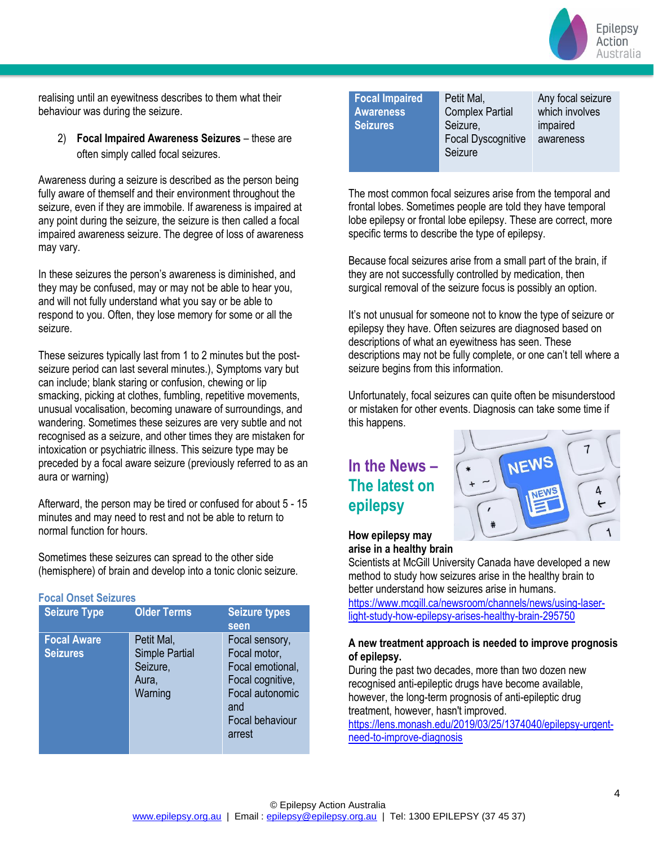

realising until an eyewitness describes to them what their behaviour was during the seizure.

2) **Focal Impaired Awareness Seizures** – these are often simply called focal seizures.

Awareness during a seizure is described as the person being fully aware of themself and their environment throughout the seizure, even if they are immobile. If awareness is impaired at any point during the seizure, the seizure is then called a focal impaired awareness seizure. The degree of loss of awareness may vary.

In these seizures the person's awareness is diminished, and they may be confused, may or may not be able to hear you, and will not fully understand what you say or be able to respond to you. Often, they lose memory for some or all the seizure.

These seizures typically last from 1 to 2 minutes but the postseizure period can last several minutes.), Symptoms vary but can include; blank staring or confusion, chewing or lip smacking, picking at clothes, fumbling, repetitive movements, unusual vocalisation, becoming unaware of surroundings, and wandering. Sometimes these seizures are very subtle and not recognised as a seizure, and other times they are mistaken for intoxication or psychiatric illness. This seizure type may be preceded by a focal aware seizure (previously referred to as an aura or warning)

Afterward, the person may be tired or confused for about 5 - 15 minutes and may need to rest and not be able to return to normal function for hours.

Sometimes these seizures can spread to the other side (hemisphere) of brain and develop into a tonic clonic seizure.

| <b>Focal Onset Seizures</b>           |                                                                     |                                                                                                                               |  |
|---------------------------------------|---------------------------------------------------------------------|-------------------------------------------------------------------------------------------------------------------------------|--|
| <b>Seizure Type</b>                   | <b>Older Terms</b>                                                  | <b>Seizure types</b><br>seen                                                                                                  |  |
| <b>Focal Aware</b><br><b>Seizures</b> | Petit Mal,<br><b>Simple Partial</b><br>Seizure,<br>Aura,<br>Warning | Focal sensory,<br>Focal motor,<br>Focal emotional,<br>Focal cognitive,<br>Focal autonomic<br>and<br>Focal behaviour<br>arrest |  |

| <b>Focal Impaired</b> | Peti |
|-----------------------|------|
| <b>Awareness</b>      | Con  |
| <b>Seizures</b>       | Seiz |
|                       | Foc  |
|                       | Seiz |

t Mal. nplex Partial zure, al Dyscognitive zure

Any focal seizure which involves impaired awareness

The most common focal seizures arise from the temporal and frontal lobes. Sometimes people are told they have temporal lobe epilepsy or frontal lobe epilepsy. These are correct, more specific terms to describe the type of epilepsy.

Because focal seizures arise from a small part of the brain, if they are not successfully controlled by medication, then surgical removal of the seizure focus is possibly an option.

It's not unusual for someone not to know the type of seizure or epilepsy they have. Often seizures are diagnosed based on descriptions of what an eyewitness has seen. These descriptions may not be fully complete, or one can't tell where a seizure begins from this information.

Unfortunately, focal seizures can quite often be misunderstood or mistaken for other events. Diagnosis can take some time if this happens.

## **In the News – The latest on epilepsy**



### **How epilepsy may arise in a healthy brain**

Scientists at McGill University Canada have developed a new method to study how seizures arise in the healthy brain to better understand how seizures arise in humans.

[https://www.mcgill.ca/newsroom/channels/news/using-laser](https://www.mcgill.ca/newsroom/channels/news/using-laser-light-study-how-epilepsy-arises-healthy-brain-295750)[light-study-how-epilepsy-arises-healthy-brain-295750](https://www.mcgill.ca/newsroom/channels/news/using-laser-light-study-how-epilepsy-arises-healthy-brain-295750)

### **A new treatment approach is needed to improve prognosis of epilepsy.**

During the past two decades, more than two dozen new recognised anti-epileptic drugs have become available, however, the long-term prognosis of anti-epileptic drug treatment, however, hasn't improved.

[https://lens.monash.edu/2019/03/25/1374040/epilepsy-urgent](https://lens.monash.edu/2019/03/25/1374040/epilepsy-urgent-need-to-improve-diagnosis)[need-to-improve-diagnosis](https://lens.monash.edu/2019/03/25/1374040/epilepsy-urgent-need-to-improve-diagnosis)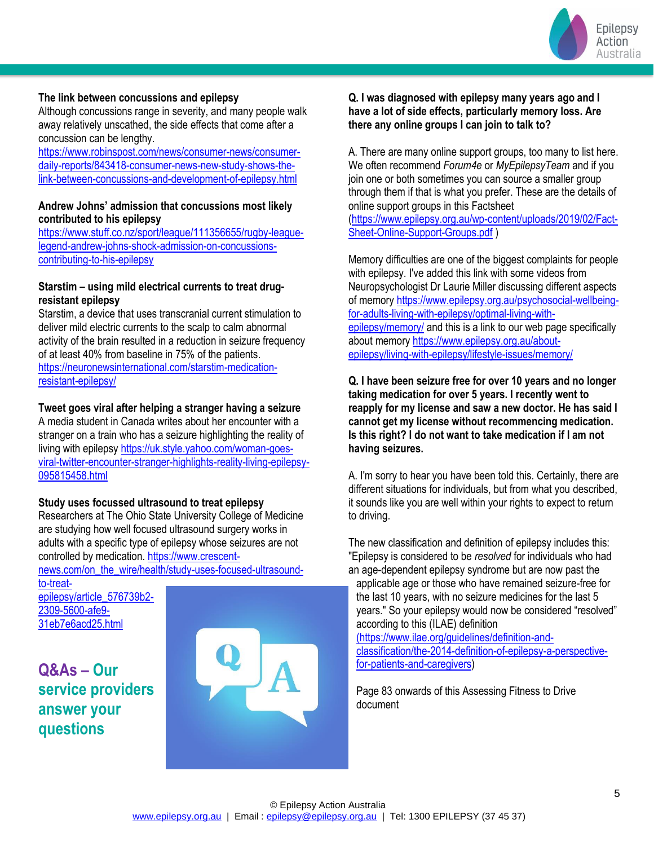

### **The link between concussions and epilepsy**

Although concussions range in severity, and many people walk away relatively unscathed, the side effects that come after a concussion can be lengthy.

[https://www.robinspost.com/news/consumer-news/consumer](https://www.robinspost.com/news/consumer-news/consumer-daily-reports/843418-consumer-news-new-study-shows-the-link-between-concussions-and-development-of-epilepsy.html)[daily-reports/843418-consumer-news-new-study-shows-the](https://www.robinspost.com/news/consumer-news/consumer-daily-reports/843418-consumer-news-new-study-shows-the-link-between-concussions-and-development-of-epilepsy.html)[link-between-concussions-and-development-of-epilepsy.html](https://www.robinspost.com/news/consumer-news/consumer-daily-reports/843418-consumer-news-new-study-shows-the-link-between-concussions-and-development-of-epilepsy.html)

### **Andrew Johns' admission that concussions most likely contributed to his epilepsy**

[https://www.stuff.co.nz/sport/league/111356655/rugby-league](https://www.stuff.co.nz/sport/league/111356655/rugby-league-legend-andrew-johns-shock-admission-on-concussions-contributing-to-his-epilepsy)[legend-andrew-johns-shock-admission-on-concussions](https://www.stuff.co.nz/sport/league/111356655/rugby-league-legend-andrew-johns-shock-admission-on-concussions-contributing-to-his-epilepsy)[contributing-to-his-epilepsy](https://www.stuff.co.nz/sport/league/111356655/rugby-league-legend-andrew-johns-shock-admission-on-concussions-contributing-to-his-epilepsy)

### **Starstim – using mild electrical currents to treat drugresistant epilepsy**

Starstim, a device that uses transcranial current stimulation to deliver mild electric currents to the scalp to calm abnormal activity of the brain resulted in a reduction in seizure frequency of at least 40% from baseline in 75% of the patients. [https://neuronewsinternational.com/starstim-medication](https://neuronewsinternational.com/starstim-medication-resistant-epilepsy/)[resistant-epilepsy/](https://neuronewsinternational.com/starstim-medication-resistant-epilepsy/)

### **Tweet goes viral after helping a stranger having a seizure**

A media student in Canada writes about her encounter with a stranger on a train who has a seizure highlighting the reality of living with epilepsy [https://uk.style.yahoo.com/woman-goes](https://uk.style.yahoo.com/woman-goes-viral-twitter-encounter-stranger-highlights-reality-living-epilepsy-095815458.html)[viral-twitter-encounter-stranger-highlights-reality-living-epilepsy-](https://uk.style.yahoo.com/woman-goes-viral-twitter-encounter-stranger-highlights-reality-living-epilepsy-095815458.html)[095815458.html](https://uk.style.yahoo.com/woman-goes-viral-twitter-encounter-stranger-highlights-reality-living-epilepsy-095815458.html)

#### **Study uses focussed ultrasound to treat epilepsy**

Researchers at The Ohio State University College of Medicine are studying how well focused ultrasound surgery works in adults with a specific type of epilepsy whose seizures are not controlled by medication. [https://www.crescent-](https://www.crescent-news.com/on_the_wire/health/study-uses-focused-ultrasound-to-treat-epilepsy/article_576739b2-2309-5600-afe9-31eb7e6acd25.html)

[news.com/on\\_the\\_wire/health/study-uses-focused-ultrasound-](https://www.crescent-news.com/on_the_wire/health/study-uses-focused-ultrasound-to-treat-epilepsy/article_576739b2-2309-5600-afe9-31eb7e6acd25.html)

[to-treat](https://www.crescent-news.com/on_the_wire/health/study-uses-focused-ultrasound-to-treat-epilepsy/article_576739b2-2309-5600-afe9-31eb7e6acd25.html)[epilepsy/article\\_576739b2-](https://www.crescent-news.com/on_the_wire/health/study-uses-focused-ultrasound-to-treat-epilepsy/article_576739b2-2309-5600-afe9-31eb7e6acd25.html) [2309-5600-afe9-](https://www.crescent-news.com/on_the_wire/health/study-uses-focused-ultrasound-to-treat-epilepsy/article_576739b2-2309-5600-afe9-31eb7e6acd25.html) [31eb7e6acd25.html](https://www.crescent-news.com/on_the_wire/health/study-uses-focused-ultrasound-to-treat-epilepsy/article_576739b2-2309-5600-afe9-31eb7e6acd25.html)

**Q&As – Our service providers answer your questions**



### **Q. I was diagnosed with epilepsy many years ago and I have a lot of side effects, particularly memory loss. Are there any online groups I can join to talk to?**

A. There are many online support groups, too many to list here. We often recommend *Forum4e* or *MyEpilepsyTeam* and if you join one or both sometimes you can source a smaller group through them if that is what you prefer. These are the details of online support groups in this Factsheet

[\(https://www.epilepsy.org.au/wp-content/uploads/2019/02/Fact-](https://www.epilepsy.org.au/wp-content/uploads/2019/02/Fact-Sheet-Online-Support-Groups.pdf)[Sheet-Online-Support-Groups.pdf](https://www.epilepsy.org.au/wp-content/uploads/2019/02/Fact-Sheet-Online-Support-Groups.pdf) )

Memory difficulties are one of the biggest complaints for people with epilepsy. I've added this link with some videos from Neuropsychologist Dr Laurie Miller discussing different aspects of memor[y https://www.epilepsy.org.au/psychosocial-wellbeing](https://www.epilepsy.org.au/psychosocial-wellbeing-for-adults-living-with-epilepsy/optimal-living-with-epilepsy/memory/)[for-adults-living-with-epilepsy/optimal-living-with](https://www.epilepsy.org.au/psychosocial-wellbeing-for-adults-living-with-epilepsy/optimal-living-with-epilepsy/memory/)[epilepsy/memory/](https://www.epilepsy.org.au/psychosocial-wellbeing-for-adults-living-with-epilepsy/optimal-living-with-epilepsy/memory/) and this is a link to our web page specifically about memor[y https://www.epilepsy.org.au/about](https://www.epilepsy.org.au/about-epilepsy/living-with-epilepsy/lifestyle-issues/memory/)[epilepsy/living-with-epilepsy/lifestyle-issues/memory/](https://www.epilepsy.org.au/about-epilepsy/living-with-epilepsy/lifestyle-issues/memory/)

**Q. I have been seizure free for over 10 years and no longer taking medication for over 5 years. I recently went to reapply for my license and saw a new doctor. He has said I cannot get my license without recommencing medication. Is this right? I do not want to take medication if I am not having seizures.**

A. I'm sorry to hear you have been told this. Certainly, there are different situations for individuals, but from what you described, it sounds like you are well within your rights to expect to return to driving.

The new classification and definition of epilepsy includes this: "Epilepsy is considered to be *resolved* for individuals who had an age-dependent epilepsy syndrome but are now past the applicable age or those who have remained seizure-free for the last 10 years, with no seizure medicines for the last 5 years." So your epilepsy would now be considered "resolved" according to this (ILAE) definition [\(https://www.ilae.org/guidelines/definition-and]((https:/www.ilae.org/guidelines/definition-and-classification/the-2014-definition-of-epilepsy-a-perspective-for-patients-and-caregivers)[classification/the-2014-definition-of-epilepsy-a-perspective]((https:/www.ilae.org/guidelines/definition-and-classification/the-2014-definition-of-epilepsy-a-perspective-for-patients-and-caregivers)[for-patients-and-caregivers\)]((https:/www.ilae.org/guidelines/definition-and-classification/the-2014-definition-of-epilepsy-a-perspective-for-patients-and-caregivers)

Page 83 onwards of this Assessing Fitness to Drive document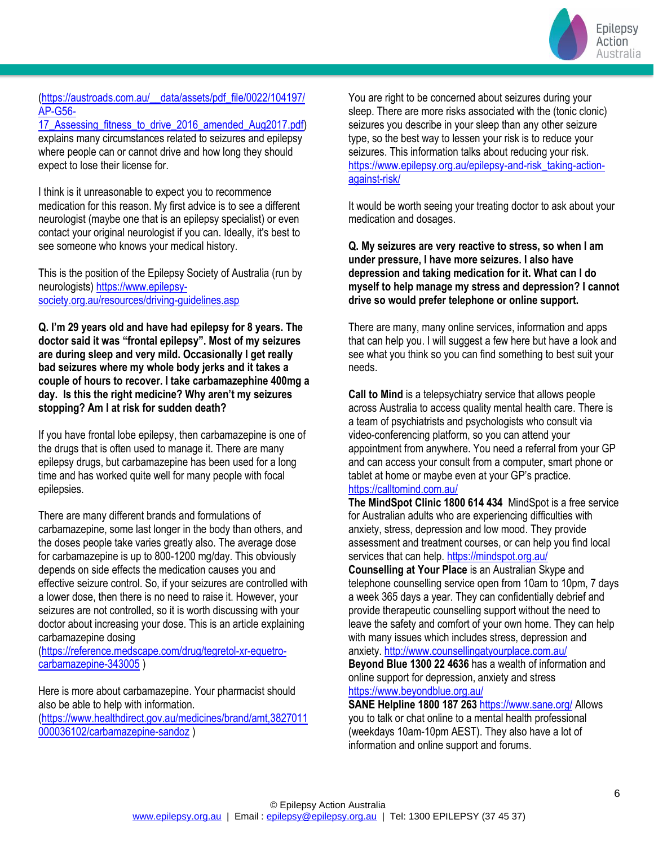

### [\(https://austroads.com.au/\\_\\_data/assets/pdf\\_file/0022/104197/](https://austroads.com.au/__data/assets/pdf_file/0022/104197/AP-G56-17_Assessing_fitness_to_drive_2016_amended_Aug2017.pdf) [AP-G56-](https://austroads.com.au/__data/assets/pdf_file/0022/104197/AP-G56-17_Assessing_fitness_to_drive_2016_amended_Aug2017.pdf)

17 Assessing fitness to drive 2016 amended Aug2017.pdf) explains many circumstances related to seizures and epilepsy where people can or cannot drive and how long they should expect to lose their license for.

I think is it unreasonable to expect you to recommence medication for this reason. My first advice is to see a different neurologist (maybe one that is an epilepsy specialist) or even contact your original neurologist if you can. Ideally, it's best to see someone who knows your medical history.

This is the position of the Epilepsy Society of Australia (run by neurologists) [https://www.epilepsy](https://www.epilepsy-society.org.au/resources/driving-guidelines.asp)[society.org.au/resources/driving-guidelines.asp](https://www.epilepsy-society.org.au/resources/driving-guidelines.asp)

**Q. I'm 29 years old and have had epilepsy for 8 years. The doctor said it was "frontal epilepsy". Most of my seizures are during sleep and very mild. Occasionally I get really bad seizures where my whole body jerks and it takes a couple of hours to recover. I take carbamazephine 400mg a day. Is this the right medicine? Why aren't my seizures stopping? Am I at risk for sudden death?**

If you have frontal lobe epilepsy, then carbamazepine is one of the drugs that is often used to manage it. There are many epilepsy drugs, but carbamazepine has been used for a long time and has worked quite well for many people with focal epilepsies.

There are many different brands and formulations of carbamazepine, some last longer in the body than others, and the doses people take varies greatly also. The average dose for carbamazepine is up to 800-1200 mg/day. This obviously depends on side effects the medication causes you and effective seizure control. So, if your seizures are controlled with a lower dose, then there is no need to raise it. However, your seizures are not controlled, so it is worth discussing with your doctor about increasing your dose. This is an article explaining carbamazepine dosing

[\(https://reference.medscape.com/drug/tegretol-xr-equetro](https://reference.medscape.com/drug/tegretol-xr-equetro-carbamazepine-343005)[carbamazepine-343005](https://reference.medscape.com/drug/tegretol-xr-equetro-carbamazepine-343005) )

Here is more about carbamazepine. Your pharmacist should also be able to help with information.

[\(https://www.healthdirect.gov.au/medicines/brand/amt,3827011](https://www.healthdirect.gov.au/medicines/brand/amt,3827011000036102/carbamazepine-sandoz) [000036102/carbamazepine-sandoz](https://www.healthdirect.gov.au/medicines/brand/amt,3827011000036102/carbamazepine-sandoz) )

You are right to be concerned about seizures during your sleep. There are more risks associated with the (tonic clonic) seizures you describe in your sleep than any other seizure type, so the best way to lessen your risk is to reduce your seizures. This information talks about reducing your risk. [https://www.epilepsy.org.au/epilepsy-and-risk\\_taking-action](https://www.epilepsy.org.au/epilepsy-and-risk_taking-action-against-risk/)[against-risk/](https://www.epilepsy.org.au/epilepsy-and-risk_taking-action-against-risk/)

It would be worth seeing your treating doctor to ask about your medication and dosages.

**Q. My seizures are very reactive to stress, so when I am under pressure, I have more seizures. I also have depression and taking medication for it. What can I do myself to help manage my stress and depression? I cannot drive so would prefer telephone or online support.**

There are many, many online services, information and apps that can help you. I will suggest a few here but have a look and see what you think so you can find something to best suit your needs.

**Call to Mind** is a telepsychiatry service that allows people across Australia to access quality mental health care. There is a team of psychiatrists and psychologists who consult via video-conferencing platform, so you can attend your appointment from anywhere. You need a referral from your GP and can access your consult from a computer, smart phone or tablet at home or maybe even at your GP's practice. <https://calltomind.com.au/>

**The MindSpot Clinic 1800 614 434** MindSpot is a free service for Australian adults who are experiencing difficulties with anxiety, stress, depression and low mood. They provide assessment and treatment courses, or can help you find local services that can help[. https://mindspot.org.au/](https://mindspot.org.au/)

**Counselling at Your Place** is an Australian Skype and telephone counselling service open from 10am to 10pm, 7 days a week 365 days a year. They can confidentially debrief and provide therapeutic counselling support without the need to leave the safety and comfort of your own home. They can help with many issues which includes stress, depression and anxiety.<http://www.counsellingatyourplace.com.au/>

**Beyond Blue 1300 22 4636** has a wealth of information and online support for depression, anxiety and stress <https://www.beyondblue.org.au/>

**SANE Helpline 1800 187 263** <https://www.sane.org/> Allows you to talk or chat online to a mental health professional (weekdays 10am-10pm AEST). They also have a lot of information and online support and forums.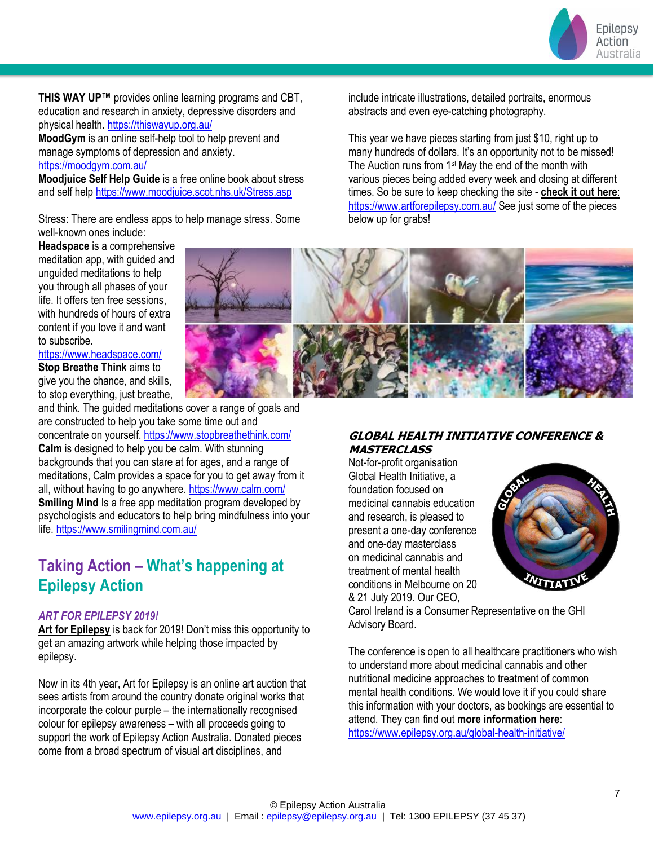Epilepsy Action Australia

**THIS WAY UP™** provides online learning programs and CBT, education and research in anxiety, depressive disorders and physical health[. https://thiswayup.org.au/](https://thiswayup.org.au/)

**MoodGym** is an online self-help tool to help prevent and manage symptoms of depression and anxiety. <https://moodgym.com.au/>

**Moodjuice Self Help Guide** is a free online book about stress and self hel[p https://www.moodjuice.scot.nhs.uk/Stress.asp](https://www.moodjuice.scot.nhs.uk/Stress.asp)

Stress: There are endless apps to help manage stress. Some well-known ones include:

include intricate illustrations, detailed portraits, enormous abstracts and even eye-catching photography.

This year we have pieces starting from just \$10, right up to many hundreds of dollars. It's an opportunity not to be missed! The Auction runs from 1<sup>st</sup> May the end of the month with various pieces being added every week and closing at different times. So be sure to keep checking the site - **[check it out here](https://www.vision6.com.au/ch/10583/2c6dtvc/2420417/ups6bc0JnvEvGC5HZC3j.5bfn6eq02kYolDEOH_I-2.html)**[:](https://www.vision6.com.au/ch/10583/2c6dtvc/2420417/ups6bc0JnvEvGC5HZC3j.5bfn6eq02kYolDEOH_I-3.html) <https://www.artforepilepsy.com.au/> See just some of the pieces below up for grabs!

**Headspace** is a comprehensive meditation app, with guided and unguided meditations to help you through all phases of your life. It offers ten free sessions, with hundreds of hours of extra content if you love it and want to subscribe.

### <https://www.headspace.com/>

**Stop Breathe Think** aims to give you the chance, and skills, to stop everything, just breathe,

and think. The guided meditations cover a range of goals and are constructed to help you take some time out and

concentrate on yourself.<https://www.stopbreathethink.com/> **Calm** is designed to help you be calm. With stunning backgrounds that you can stare at for ages, and a range of meditations, Calm provides a space for you to get away from it all, without having to go anywhere.<https://www.calm.com/> **Smiling Mind Is a free app meditation program developed by** psychologists and educators to help bring mindfulness into your life[. https://www.smilingmind.com.au/](https://www.smilingmind.com.au/)

### **Taking Action – What's happening at Epilepsy Action**

### *ART FOR EPILEPSY 2019!*

**[Art for Epilepsy](https://www.vision6.com.au/ch/10583/2c6dtvc/2420417/ups6bc0JnvEvGC5HZC3j.5bfn6eq02kYolDEOH_I-1.html)** is back for 2019! Don't miss this opportunity to get an amazing artwork while helping those impacted by epilepsy.

Now in its 4th year, Art for Epilepsy is an online art auction that sees artists from around the country donate original works that incorporate the colour purple – the internationally recognised colour for epilepsy awareness – with all proceeds going to support the work of Epilepsy Action Australia. Donated pieces come from a broad spectrum of visual art disciplines, and



### **GLOBAL HEALTH INITIATIVE CONFERENCE & MASTERCLASS**

Not-for-profit organisation Global Health Initiative, a foundation focused on medicinal cannabis education and research, is pleased to present a one-day conference and one-day masterclass on medicinal cannabis and treatment of mental health conditions in Melbourne on 20 & 21 July 2019. Our CEO,



Carol Ireland is a Consumer Representative on the GHI Advisory Board.

The conference is open to all healthcare practitioners who wish to understand more about medicinal cannabis and other nutritional medicine approaches to treatment of common mental health conditions. We would love it if you could share this information with your doctors, as bookings are essential to attend. They can find out **[more information here](https://www.vision6.com.au/ch/10583/2c6dtvc/2420640/ups6bc0JnvEvGC5HZC3jBlwUwWMaRnMv8bJjmShy-1.html)**: <https://www.epilepsy.org.au/global-health-initiative/>